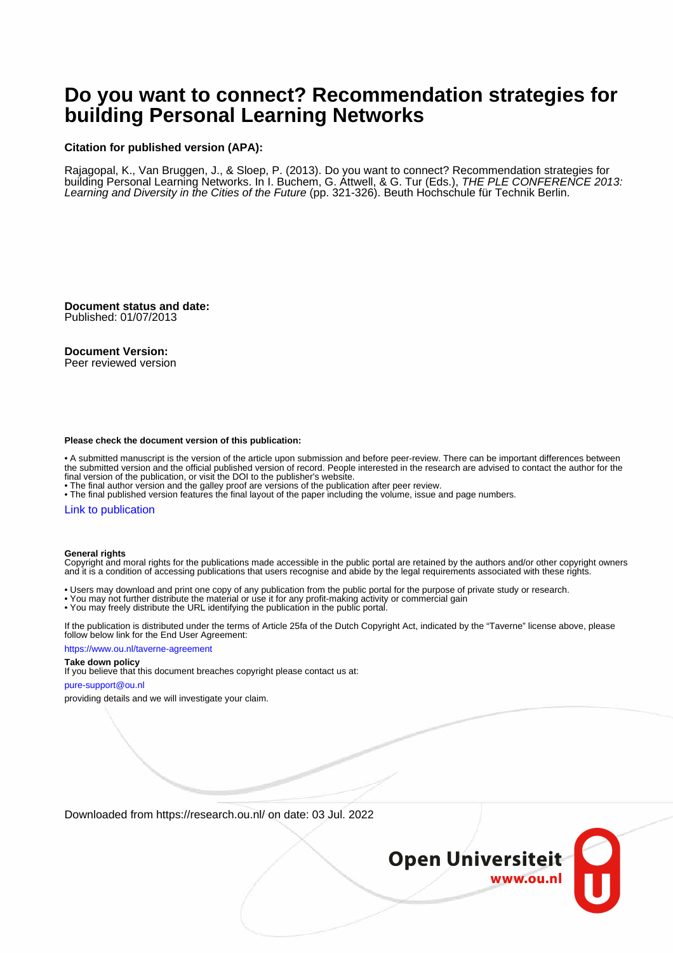## **Do you want to connect? Recommendation strategies for building Personal Learning Networks**

### **Citation for published version (APA):**

Rajagopal, K., Van Bruggen, J., & Sloep, P. (2013). Do you want to connect? Recommendation strategies for building Personal Learning Networks. In I. Buchem, G. Attwell, & G. Tur (Eds.), THE PLE CONFERENCE 2013: Learning and Diversity in the Cities of the Future (pp. 321-326). Beuth Hochschule für Technik Berlin.

**Document status and date:** Published: 01/07/2013

### **Document Version:**

Peer reviewed version

#### **Please check the document version of this publication:**

• A submitted manuscript is the version of the article upon submission and before peer-review. There can be important differences between the submitted version and the official published version of record. People interested in the research are advised to contact the author for the final version of the publication, or visit the DOI to the publisher's website.

• The final author version and the galley proof are versions of the publication after peer review.

• The final published version features the final layout of the paper including the volume, issue and page numbers.

#### [Link to publication](https://research.ou.nl/en/publications/a7457443-53da-4fd7-8db6-4083aca2369c)

#### **General rights**

Copyright and moral rights for the publications made accessible in the public portal are retained by the authors and/or other copyright owners and it is a condition of accessing publications that users recognise and abide by the legal requirements associated with these rights.

- Users may download and print one copy of any publication from the public portal for the purpose of private study or research.
- You may not further distribute the material or use it for any profit-making activity or commercial gain
- You may freely distribute the URL identifying the publication in the public portal.

If the publication is distributed under the terms of Article 25fa of the Dutch Copyright Act, indicated by the "Taverne" license above, please follow below link for the End User Agreement:

#### https://www.ou.nl/taverne-agreement

## **Take down policy**

If you believe that this document breaches copyright please contact us at:

#### pure-support@ou.nl

providing details and we will investigate your claim.

Downloaded from https://research.ou.nl/ on date: 03 Jul. 2022

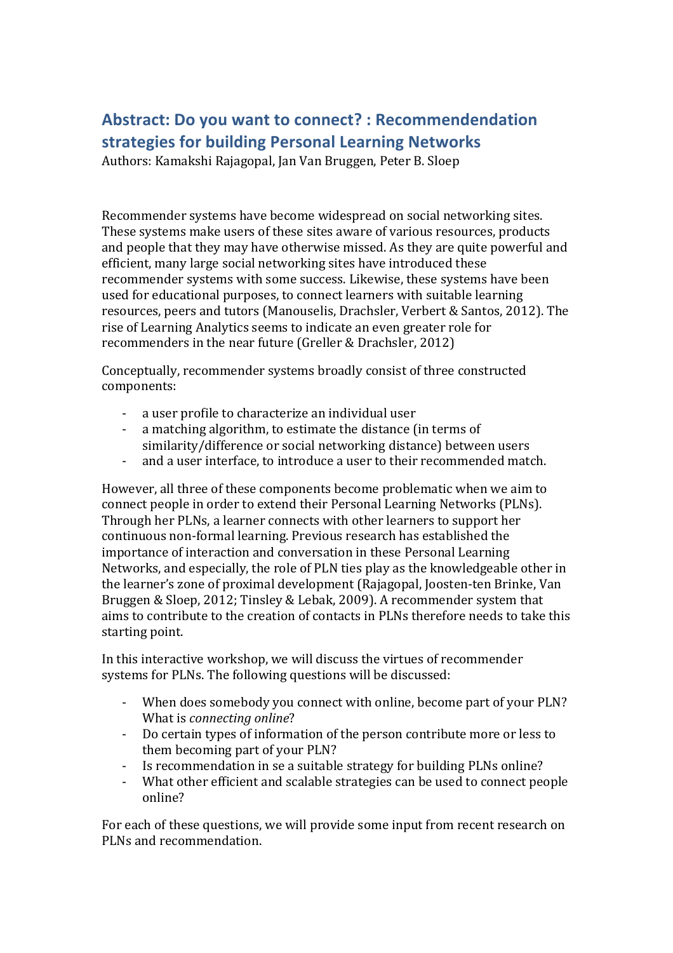# Abstract: Do you want to connect? : Recommendendation **strategies for building Personal Learning Networks**

Authors: Kamakshi Rajagopal, Jan Van Bruggen, Peter B. Sloep

Recommender systems have become widespread on social networking sites. These systems make users of these sites aware of various resources, products and people that they may have otherwise missed. As they are quite powerful and efficient, many large social networking sites have introduced these recommender systems with some success. Likewise, these systems have been used for educational purposes, to connect learners with suitable learning resources, peers and tutors (Manouselis, Drachsler, Verbert & Santos, 2012). The rise of Learning Analytics seems to indicate an even greater role for recommenders in the near future (Greller & Drachsler, 2012)

Conceptually, recommender systems broadly consist of three constructed components: 

- a user profile to characterize an individual user
- a matching algorithm, to estimate the distance (in terms of similarity/difference or social networking distance) between users
- and a user interface, to introduce a user to their recommended match.

However, all three of these components become problematic when we aim to connect people in order to extend their Personal Learning Networks (PLNs). Through her PLNs, a learner connects with other learners to support her continuous non-formal learning. Previous research has established the importance of interaction and conversation in these Personal Learning Networks, and especially, the role of PLN ties play as the knowledgeable other in the learner's zone of proximal development (Rajagopal, Joosten-ten Brinke, Van Bruggen & Sloep, 2012; Tinsley & Lebak, 2009). A recommender system that aims to contribute to the creation of contacts in PLNs therefore needs to take this starting point.

In this interactive workshop, we will discuss the virtues of recommender systems for PLNs. The following questions will be discussed:

- When does somebody you connect with online, become part of your PLN? What is *connecting* online?
- Do certain types of information of the person contribute more or less to them becoming part of your PLN?
- Is recommendation in se a suitable strategy for building PLNs online?
- What other efficient and scalable strategies can be used to connect people online?

For each of these questions, we will provide some input from recent research on PLNs and recommendation.